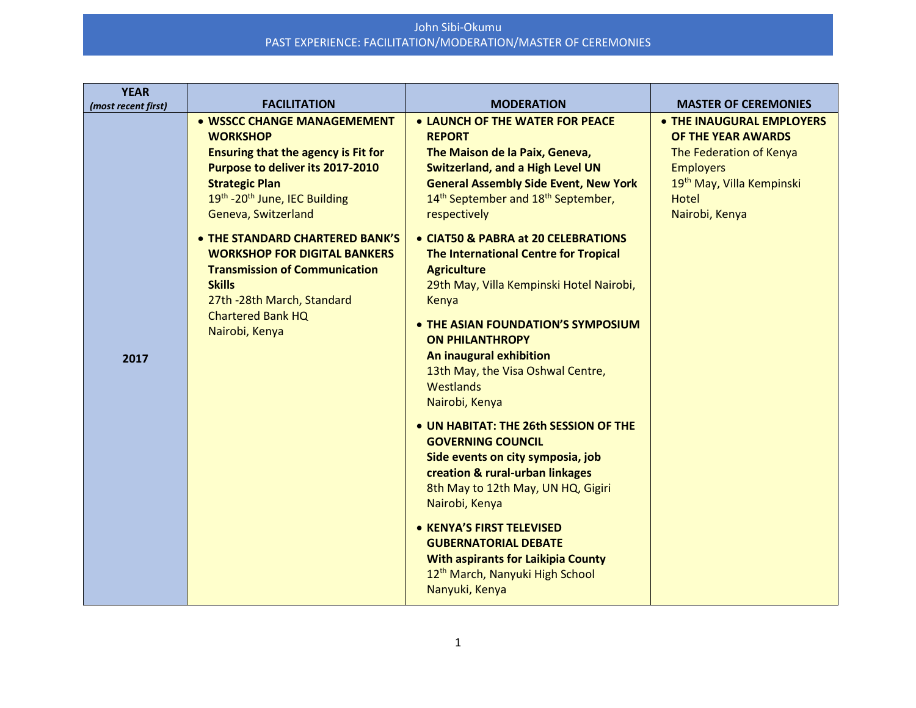| <b>YEAR</b><br>(most recent first) | <b>FACILITATION</b>                                                                                                                                                                                                                                                                                                                                                                                                              | <b>MODERATION</b>                                                                                                                                                                                                                                                                                                                                                                                                                                                                                                                                                                                                                                                                                                                                                                                                                                                                                                                                                    | <b>MASTER OF CEREMONIES</b>                                                                                                                                               |
|------------------------------------|----------------------------------------------------------------------------------------------------------------------------------------------------------------------------------------------------------------------------------------------------------------------------------------------------------------------------------------------------------------------------------------------------------------------------------|----------------------------------------------------------------------------------------------------------------------------------------------------------------------------------------------------------------------------------------------------------------------------------------------------------------------------------------------------------------------------------------------------------------------------------------------------------------------------------------------------------------------------------------------------------------------------------------------------------------------------------------------------------------------------------------------------------------------------------------------------------------------------------------------------------------------------------------------------------------------------------------------------------------------------------------------------------------------|---------------------------------------------------------------------------------------------------------------------------------------------------------------------------|
| 2017                               | • WSSCC CHANGE MANAGEMEMENT<br><b>WORKSHOP</b><br><b>Ensuring that the agency is Fit for</b><br>Purpose to deliver its 2017-2010<br><b>Strategic Plan</b><br>19th -20th June, IEC Building<br>Geneva, Switzerland<br>• THE STANDARD CHARTERED BANK'S<br><b>WORKSHOP FOR DIGITAL BANKERS</b><br><b>Transmission of Communication</b><br><b>Skills</b><br>27th -28th March, Standard<br><b>Chartered Bank HQ</b><br>Nairobi, Kenya | • LAUNCH OF THE WATER FOR PEACE<br><b>REPORT</b><br>The Maison de la Paix, Geneva,<br><b>Switzerland, and a High Level UN</b><br><b>General Assembly Side Event, New York</b><br>14 <sup>th</sup> September and 18 <sup>th</sup> September,<br>respectively<br>• CIAT50 & PABRA at 20 CELEBRATIONS<br>The International Centre for Tropical<br><b>Agriculture</b><br>29th May, Villa Kempinski Hotel Nairobi,<br>Kenya<br>• THE ASIAN FOUNDATION'S SYMPOSIUM<br><b>ON PHILANTHROPY</b><br>An inaugural exhibition<br>13th May, the Visa Oshwal Centre,<br>Westlands<br>Nairobi, Kenya<br>• UN HABITAT: THE 26th SESSION OF THE<br><b>GOVERNING COUNCIL</b><br>Side events on city symposia, job<br>creation & rural-urban linkages<br>8th May to 12th May, UN HQ, Gigiri<br>Nairobi, Kenya<br>• KENYA'S FIRST TELEVISED<br><b>GUBERNATORIAL DEBATE</b><br><b>With aspirants for Laikipia County</b><br>12 <sup>th</sup> March, Nanyuki High School<br>Nanyuki, Kenya | • THE INAUGURAL EMPLOYERS<br>OF THE YEAR AWARDS<br>The Federation of Kenya<br><b>Employers</b><br>19 <sup>th</sup> May, Villa Kempinski<br><b>Hotel</b><br>Nairobi, Kenya |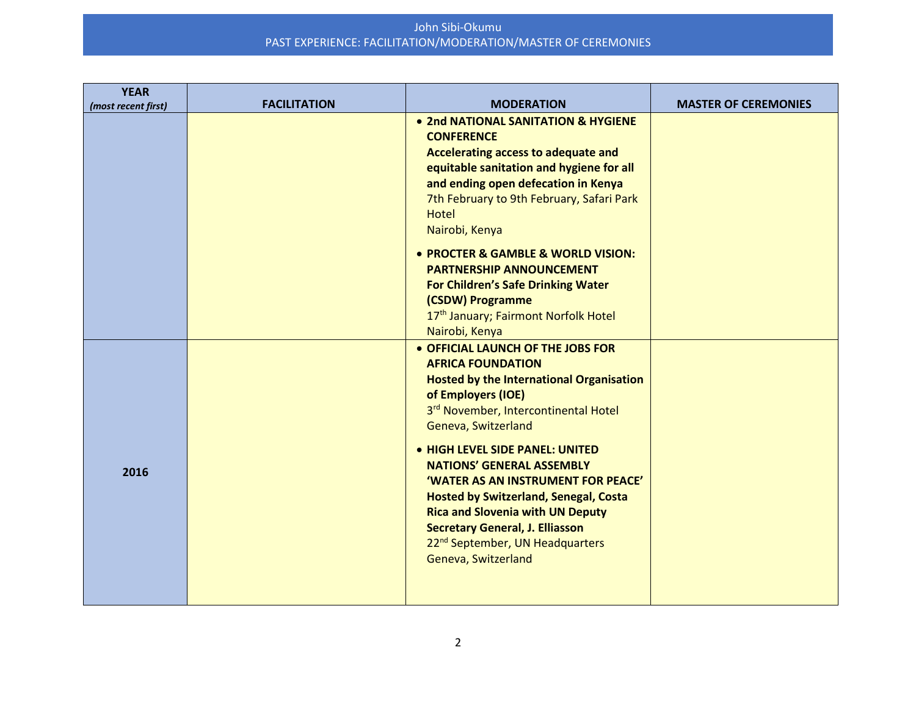| • 2nd NATIONAL SANITATION & HYGIENE<br><b>CONFERENCE</b><br>Accelerating access to adequate and<br>equitable sanitation and hygiene for all                                                                                                                                                                                                                                                                                                                                                                                           | (most recent first) | <b>FACILITATION</b> | <b>MODERATION</b> | <b>MASTER OF CEREMONIES</b> |
|---------------------------------------------------------------------------------------------------------------------------------------------------------------------------------------------------------------------------------------------------------------------------------------------------------------------------------------------------------------------------------------------------------------------------------------------------------------------------------------------------------------------------------------|---------------------|---------------------|-------------------|-----------------------------|
| and ending open defecation in Kenya<br>7th February to 9th February, Safari Park<br><b>Hotel</b><br>Nairobi, Kenya                                                                                                                                                                                                                                                                                                                                                                                                                    |                     |                     |                   |                             |
| • PROCTER & GAMBLE & WORLD VISION:<br><b>PARTNERSHIP ANNOUNCEMENT</b><br><b>For Children's Safe Drinking Water</b><br>(CSDW) Programme<br>17th January; Fairmont Norfolk Hotel<br>Nairobi, Kenya                                                                                                                                                                                                                                                                                                                                      |                     |                     |                   |                             |
| • OFFICIAL LAUNCH OF THE JOBS FOR<br><b>AFRICA FOUNDATION</b><br><b>Hosted by the International Organisation</b><br>of Employers (IOE)<br>3rd November, Intercontinental Hotel<br>Geneva, Switzerland<br>• HIGH LEVEL SIDE PANEL: UNITED<br><b>NATIONS' GENERAL ASSEMBLY</b><br>2016<br>'WATER AS AN INSTRUMENT FOR PEACE'<br><b>Hosted by Switzerland, Senegal, Costa</b><br><b>Rica and Slovenia with UN Deputy</b><br><b>Secretary General, J. Elliasson</b><br>22 <sup>nd</sup> September, UN Headquarters<br>Geneva, Switzerland |                     |                     |                   |                             |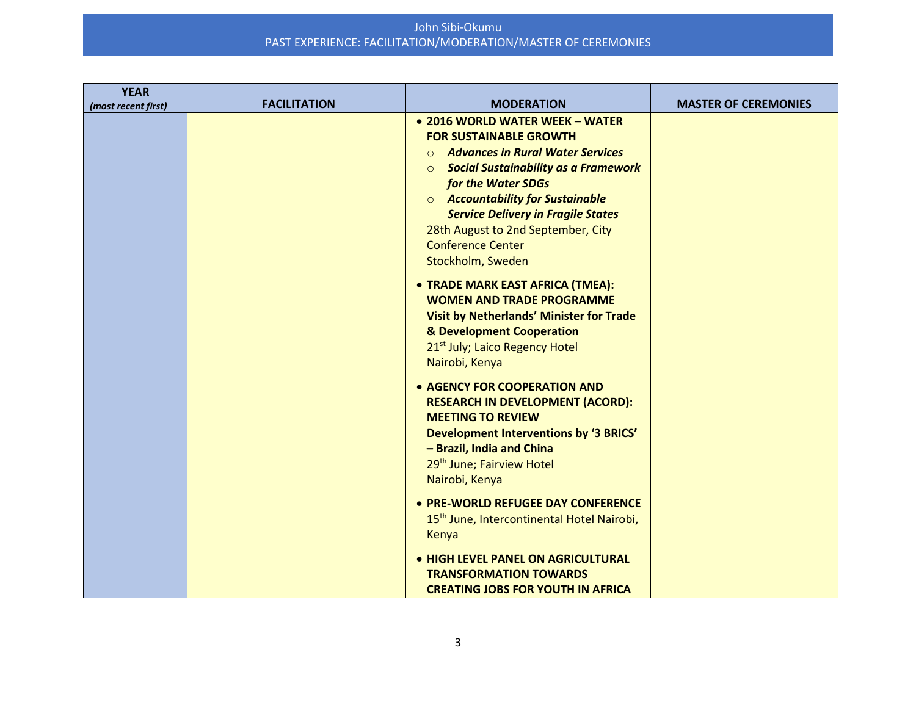| <b>YEAR</b><br>(most recent first) | <b>FACILITATION</b> | <b>MODERATION</b>                                                                                                                                                                                                                                                                                                                                                                      | <b>MASTER OF CEREMONIES</b> |
|------------------------------------|---------------------|----------------------------------------------------------------------------------------------------------------------------------------------------------------------------------------------------------------------------------------------------------------------------------------------------------------------------------------------------------------------------------------|-----------------------------|
|                                    |                     | • 2016 WORLD WATER WEEK - WATER<br><b>FOR SUSTAINABLE GROWTH</b><br><b>Advances in Rural Water Services</b><br>$\Omega$<br><b>Social Sustainability as a Framework</b><br>$\circ$<br>for the Water SDGs<br><b>O</b> Accountability for Sustainable<br><b>Service Delivery in Fragile States</b><br>28th August to 2nd September, City<br><b>Conference Center</b><br>Stockholm, Sweden |                             |
|                                    |                     | • TRADE MARK EAST AFRICA (TMEA):<br><b>WOMEN AND TRADE PROGRAMME</b><br>Visit by Netherlands' Minister for Trade<br>& Development Cooperation<br>21 <sup>st</sup> July; Laico Regency Hotel<br>Nairobi, Kenya                                                                                                                                                                          |                             |
|                                    |                     | • AGENCY FOR COOPERATION AND<br><b>RESEARCH IN DEVELOPMENT (ACORD):</b><br><b>MEETING TO REVIEW</b><br>Development Interventions by '3 BRICS'<br>- Brazil, India and China<br>29th June; Fairview Hotel<br>Nairobi, Kenya                                                                                                                                                              |                             |
|                                    |                     | • PRE-WORLD REFUGEE DAY CONFERENCE<br>15 <sup>th</sup> June, Intercontinental Hotel Nairobi,<br>Kenya                                                                                                                                                                                                                                                                                  |                             |
|                                    |                     | • HIGH LEVEL PANEL ON AGRICULTURAL<br><b>TRANSFORMATION TOWARDS</b><br><b>CREATING JOBS FOR YOUTH IN AFRICA</b>                                                                                                                                                                                                                                                                        |                             |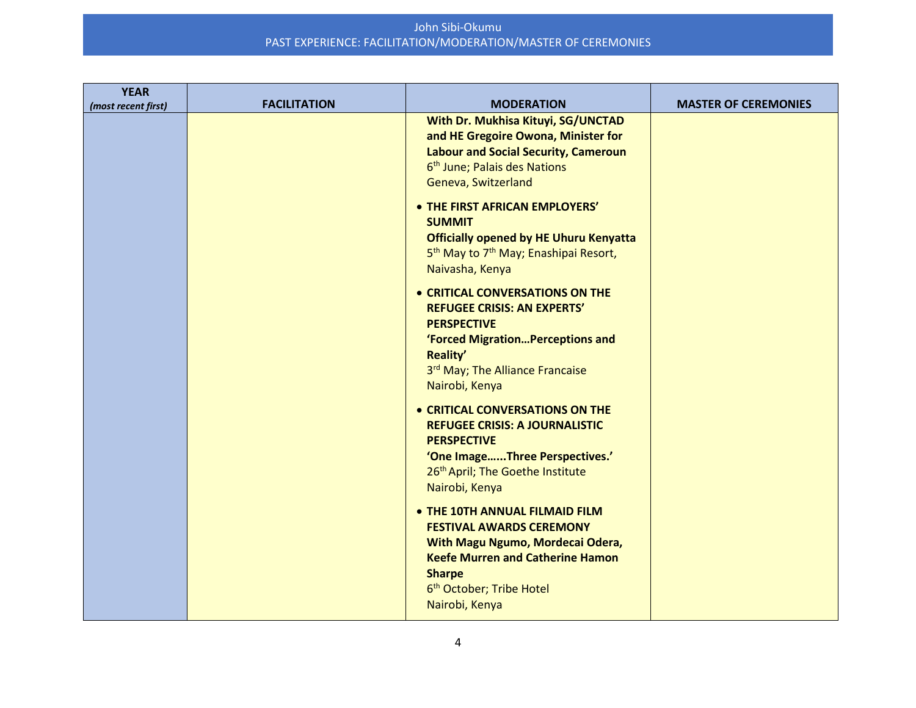| <b>YEAR</b>         |                     |                                                                                                                                                                                                                             |                             |
|---------------------|---------------------|-----------------------------------------------------------------------------------------------------------------------------------------------------------------------------------------------------------------------------|-----------------------------|
| (most recent first) | <b>FACILITATION</b> | <b>MODERATION</b><br>With Dr. Mukhisa Kituyi, SG/UNCTAD<br>and HE Gregoire Owona, Minister for<br><b>Labour and Social Security, Cameroun</b><br>6 <sup>th</sup> June; Palais des Nations<br>Geneva, Switzerland            | <b>MASTER OF CEREMONIES</b> |
|                     |                     | • THE FIRST AFRICAN EMPLOYERS'<br><b>SUMMIT</b><br><b>Officially opened by HE Uhuru Kenyatta</b><br>5 <sup>th</sup> May to 7 <sup>th</sup> May; Enashipai Resort,<br>Naivasha, Kenya                                        |                             |
|                     |                     | • CRITICAL CONVERSATIONS ON THE<br><b>REFUGEE CRISIS: AN EXPERTS'</b><br><b>PERSPECTIVE</b><br>'Forced Migration Perceptions and<br>Reality'<br>3rd May; The Alliance Francaise<br>Nairobi, Kenya                           |                             |
|                     |                     | • CRITICAL CONVERSATIONS ON THE<br><b>REFUGEE CRISIS: A JOURNALISTIC</b><br><b>PERSPECTIVE</b><br>'One ImageThree Perspectives.'<br>26 <sup>th</sup> April; The Goethe Institute<br>Nairobi, Kenya                          |                             |
|                     |                     | • THE 10TH ANNUAL FILMAID FILM<br><b>FESTIVAL AWARDS CEREMONY</b><br>With Magu Ngumo, Mordecai Odera,<br><b>Keefe Murren and Catherine Hamon</b><br><b>Sharpe</b><br>6 <sup>th</sup> October; Tribe Hotel<br>Nairobi, Kenya |                             |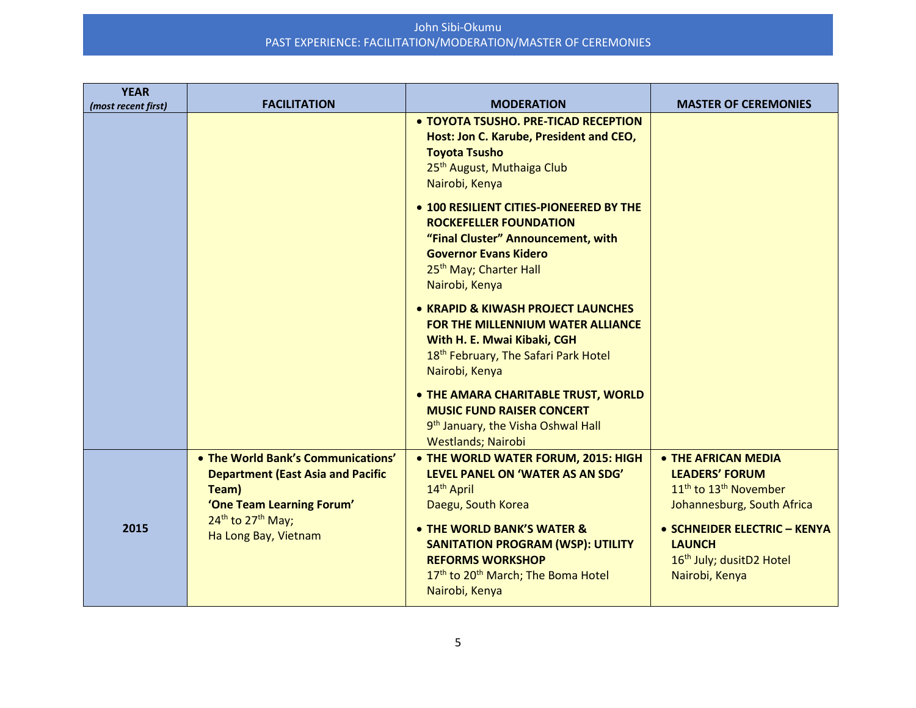| <b>YEAR</b><br>(most recent first) | <b>FACILITATION</b>                                                                                                                                                                       | <b>MODERATION</b>                                                                                                                                                                                                                                                                                                                                                                                                                                                                                                                                                                                                                                                                                                       | <b>MASTER OF CEREMONIES</b>                                                                                                                                                                                                            |
|------------------------------------|-------------------------------------------------------------------------------------------------------------------------------------------------------------------------------------------|-------------------------------------------------------------------------------------------------------------------------------------------------------------------------------------------------------------------------------------------------------------------------------------------------------------------------------------------------------------------------------------------------------------------------------------------------------------------------------------------------------------------------------------------------------------------------------------------------------------------------------------------------------------------------------------------------------------------------|----------------------------------------------------------------------------------------------------------------------------------------------------------------------------------------------------------------------------------------|
|                                    |                                                                                                                                                                                           | • TOYOTA TSUSHO. PRE-TICAD RECEPTION<br>Host: Jon C. Karube, President and CEO,<br><b>Toyota Tsusho</b><br>25 <sup>th</sup> August, Muthaiga Club<br>Nairobi, Kenya<br>• 100 RESILIENT CITIES-PIONEERED BY THE<br><b>ROCKEFELLER FOUNDATION</b><br>"Final Cluster" Announcement, with<br><b>Governor Evans Kidero</b><br>25 <sup>th</sup> May; Charter Hall<br>Nairobi, Kenya<br>• KRAPID & KIWASH PROJECT LAUNCHES<br>FOR THE MILLENNIUM WATER ALLIANCE<br>With H. E. Mwai Kibaki, CGH<br>18 <sup>th</sup> February, The Safari Park Hotel<br>Nairobi, Kenya<br>• THE AMARA CHARITABLE TRUST, WORLD<br><b>MUSIC FUND RAISER CONCERT</b><br>9 <sup>th</sup> January, the Visha Oshwal Hall<br><b>Westlands; Nairobi</b> |                                                                                                                                                                                                                                        |
| 2015                               | • The World Bank's Communications'<br><b>Department (East Asia and Pacific</b><br>Team)<br>'One Team Learning Forum'<br>24 <sup>th</sup> to 27 <sup>th</sup> May;<br>Ha Long Bay, Vietnam | • THE WORLD WATER FORUM, 2015: HIGH<br>LEVEL PANEL ON 'WATER AS AN SDG'<br>14 <sup>th</sup> April<br>Daegu, South Korea<br>• THE WORLD BANK'S WATER &<br><b>SANITATION PROGRAM (WSP): UTILITY</b><br><b>REFORMS WORKSHOP</b><br>17 <sup>th</sup> to 20 <sup>th</sup> March; The Boma Hotel<br>Nairobi, Kenya                                                                                                                                                                                                                                                                                                                                                                                                            | • THE AFRICAN MEDIA<br><b>LEADERS' FORUM</b><br>11 <sup>th</sup> to 13 <sup>th</sup> November<br>Johannesburg, South Africa<br>• SCHNEIDER ELECTRIC - KENYA<br><b>LAUNCH</b><br>16 <sup>th</sup> July; dusitD2 Hotel<br>Nairobi, Kenya |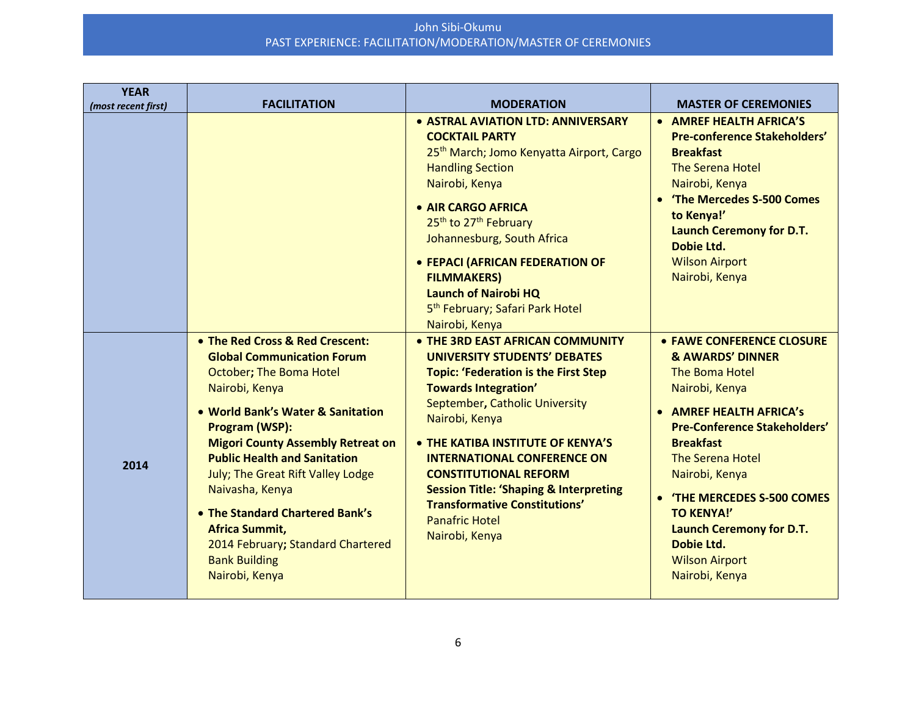| <b>YEAR</b><br>(most recent first) | <b>FACILITATION</b>                                                                                                                                                                                                                                                                                                                                                                                                                                            | <b>MODERATION</b>                                                                                                                                                                                                                                                                                                                                                                                                                                            | <b>MASTER OF CEREMONIES</b>                                                                                                                                                                                                                                                                                                                                                          |
|------------------------------------|----------------------------------------------------------------------------------------------------------------------------------------------------------------------------------------------------------------------------------------------------------------------------------------------------------------------------------------------------------------------------------------------------------------------------------------------------------------|--------------------------------------------------------------------------------------------------------------------------------------------------------------------------------------------------------------------------------------------------------------------------------------------------------------------------------------------------------------------------------------------------------------------------------------------------------------|--------------------------------------------------------------------------------------------------------------------------------------------------------------------------------------------------------------------------------------------------------------------------------------------------------------------------------------------------------------------------------------|
|                                    |                                                                                                                                                                                                                                                                                                                                                                                                                                                                | <b>. ASTRAL AVIATION LTD: ANNIVERSARY</b><br><b>COCKTAIL PARTY</b><br>25 <sup>th</sup> March; Jomo Kenyatta Airport, Cargo<br><b>Handling Section</b><br>Nairobi, Kenya<br>• AIR CARGO AFRICA<br>25 <sup>th</sup> to 27 <sup>th</sup> February<br>Johannesburg, South Africa<br>• FEPACI (AFRICAN FEDERATION OF<br><b>FILMMAKERS)</b><br><b>Launch of Nairobi HQ</b><br>5 <sup>th</sup> February; Safari Park Hotel<br>Nairobi, Kenya                        | • AMREF HEALTH AFRICA'S<br><b>Pre-conference Stakeholders'</b><br><b>Breakfast</b><br><b>The Serena Hotel</b><br>Nairobi, Kenya<br>The Mercedes S-500 Comes<br>to Kenya!'<br><b>Launch Ceremony for D.T.</b><br>Dobie Ltd.<br><b>Wilson Airport</b><br>Nairobi, Kenya                                                                                                                |
| 2014                               | • The Red Cross & Red Crescent:<br><b>Global Communication Forum</b><br>October; The Boma Hotel<br>Nairobi, Kenya<br>• World Bank's Water & Sanitation<br>Program (WSP):<br><b>Migori County Assembly Retreat on</b><br><b>Public Health and Sanitation</b><br>July; The Great Rift Valley Lodge<br>Naivasha, Kenya<br>• The Standard Chartered Bank's<br><b>Africa Summit,</b><br>2014 February; Standard Chartered<br><b>Bank Building</b><br>Nairobi, Kenya | • THE 3RD EAST AFRICAN COMMUNITY<br><b>UNIVERSITY STUDENTS' DEBATES</b><br><b>Topic: 'Federation is the First Step</b><br><b>Towards Integration'</b><br>September, Catholic University<br>Nairobi, Kenya<br>• THE KATIBA INSTITUTE OF KENYA'S<br><b>INTERNATIONAL CONFERENCE ON</b><br><b>CONSTITUTIONAL REFORM</b><br><b>Session Title: 'Shaping &amp; Interpreting</b><br><b>Transformative Constitutions'</b><br><b>Panafric Hotel</b><br>Nairobi, Kenya | • FAWE CONFERENCE CLOSURE<br><b>&amp; AWARDS' DINNER</b><br>The Boma Hotel<br>Nairobi, Kenya<br>• AMREF HEALTH AFRICA's<br><b>Pre-Conference Stakeholders'</b><br><b>Breakfast</b><br><b>The Serena Hotel</b><br>Nairobi, Kenya<br><b>'THE MERCEDES S-500 COMES</b><br><b>TO KENYA!'</b><br><b>Launch Ceremony for D.T.</b><br>Dobie Ltd.<br><b>Wilson Airport</b><br>Nairobi, Kenya |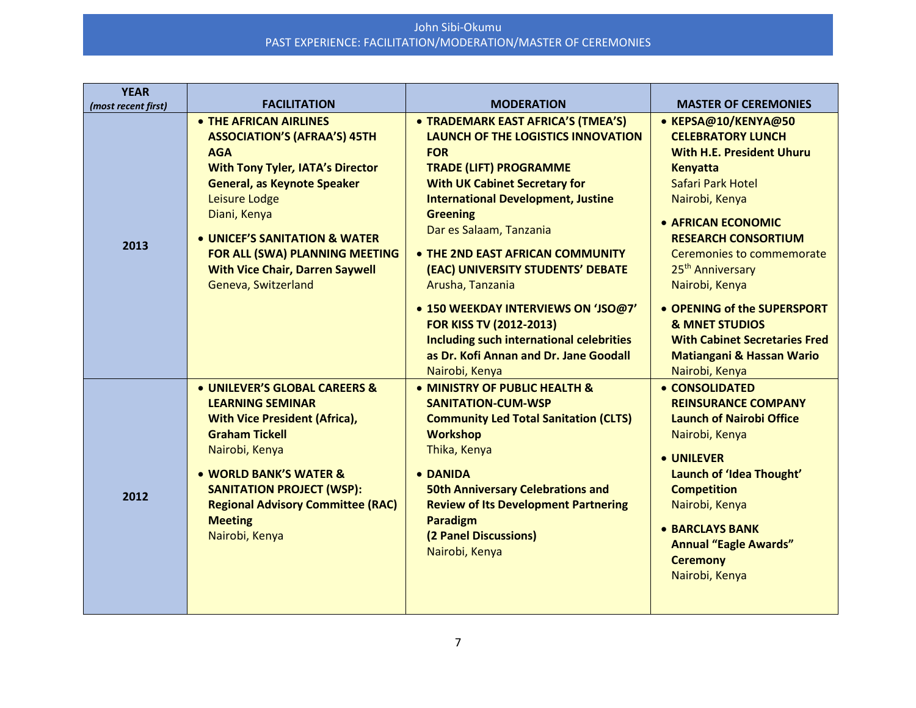| <b>YEAR</b>         |                                                                                                                                                                                                                                                                                                                                   |                                                                                                                                                                                                                                                                                                                                                                                                                                                                                                                                      |                                                                                                                                                                                                                                                                                                                                                                                                                              |
|---------------------|-----------------------------------------------------------------------------------------------------------------------------------------------------------------------------------------------------------------------------------------------------------------------------------------------------------------------------------|--------------------------------------------------------------------------------------------------------------------------------------------------------------------------------------------------------------------------------------------------------------------------------------------------------------------------------------------------------------------------------------------------------------------------------------------------------------------------------------------------------------------------------------|------------------------------------------------------------------------------------------------------------------------------------------------------------------------------------------------------------------------------------------------------------------------------------------------------------------------------------------------------------------------------------------------------------------------------|
| (most recent first) | <b>FACILITATION</b>                                                                                                                                                                                                                                                                                                               | <b>MODERATION</b>                                                                                                                                                                                                                                                                                                                                                                                                                                                                                                                    | <b>MASTER OF CEREMONIES</b>                                                                                                                                                                                                                                                                                                                                                                                                  |
| 2013                | • THE AFRICAN AIRLINES<br><b>ASSOCIATION'S (AFRAA'S) 45TH</b><br><b>AGA</b><br><b>With Tony Tyler, IATA's Director</b><br><b>General, as Keynote Speaker</b><br>Leisure Lodge<br>Diani, Kenya<br>• UNICEF'S SANITATION & WATER<br>FOR ALL (SWA) PLANNING MEETING<br><b>With Vice Chair, Darren Saywell</b><br>Geneva, Switzerland | • TRADEMARK EAST AFRICA'S (TMEA'S)<br><b>LAUNCH OF THE LOGISTICS INNOVATION</b><br><b>FOR</b><br><b>TRADE (LIFT) PROGRAMME</b><br><b>With UK Cabinet Secretary for</b><br><b>International Development, Justine</b><br><b>Greening</b><br>Dar es Salaam, Tanzania<br>• THE 2ND EAST AFRICAN COMMUNITY<br>(EAC) UNIVERSITY STUDENTS' DEBATE<br>Arusha, Tanzania<br>• 150 WEEKDAY INTERVIEWS ON 'JSO@7'<br><b>FOR KISS TV (2012-2013)</b><br><b>Including such international celebrities</b><br>as Dr. Kofi Annan and Dr. Jane Goodall | • KEPSA@10/KENYA@50<br><b>CELEBRATORY LUNCH</b><br><b>With H.E. President Uhuru</b><br><b>Kenyatta</b><br>Safari Park Hotel<br>Nairobi, Kenya<br>• AFRICAN ECONOMIC<br><b>RESEARCH CONSORTIUM</b><br>Ceremonies to commemorate<br>25 <sup>th</sup> Anniversary<br>Nairobi, Kenya<br>• OPENING of the SUPERSPORT<br><b>&amp; MNET STUDIOS</b><br><b>With Cabinet Secretaries Fred</b><br><b>Matiangani &amp; Hassan Wario</b> |
| 2012                | • UNILEVER'S GLOBAL CAREERS &<br><b>LEARNING SEMINAR</b><br><b>With Vice President (Africa),</b><br><b>Graham Tickell</b><br>Nairobi, Kenya<br>• WORLD BANK'S WATER &<br><b>SANITATION PROJECT (WSP):</b><br><b>Regional Advisory Committee (RAC)</b><br><b>Meeting</b><br>Nairobi, Kenya                                         | Nairobi, Kenya<br>• MINISTRY OF PUBLIC HEALTH &<br><b>SANITATION-CUM-WSP</b><br><b>Community Led Total Sanitation (CLTS)</b><br><b>Workshop</b><br>Thika, Kenya<br>• DANIDA<br><b>50th Anniversary Celebrations and</b><br><b>Review of Its Development Partnering</b><br><b>Paradigm</b><br>(2 Panel Discussions)<br>Nairobi, Kenya                                                                                                                                                                                                 | Nairobi, Kenya<br>• CONSOLIDATED<br><b>REINSURANCE COMPANY</b><br><b>Launch of Nairobi Office</b><br>Nairobi, Kenya<br>• UNILEVER<br>Launch of 'Idea Thought'<br><b>Competition</b><br>Nairobi, Kenya<br>• BARCLAYS BANK<br><b>Annual "Eagle Awards"</b><br><b>Ceremony</b><br>Nairobi, Kenya                                                                                                                                |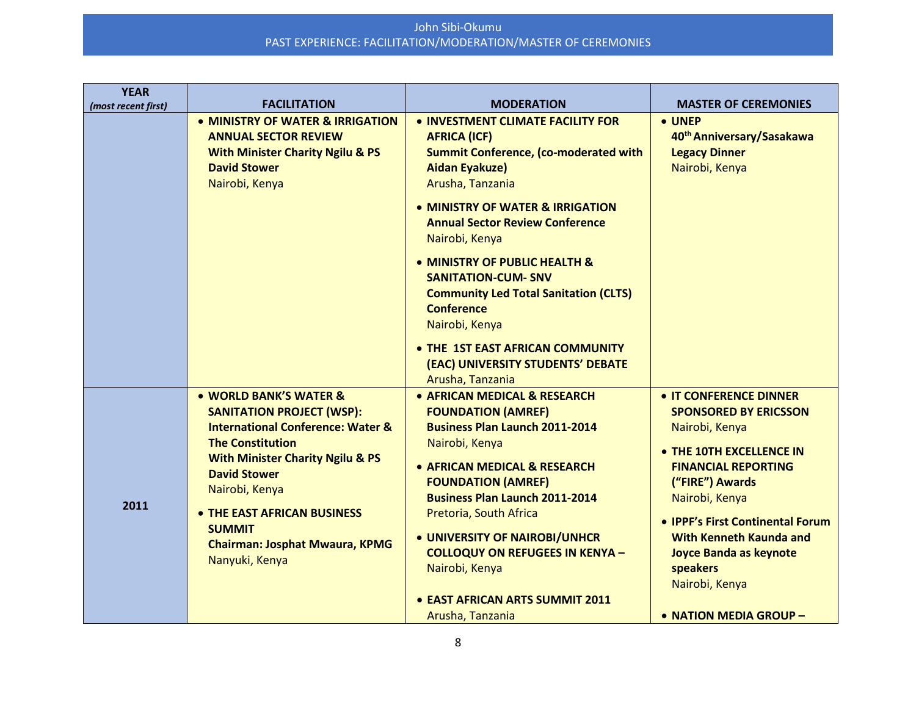| <b>YEAR</b><br>(most recent first) | <b>FACILITATION</b>                                                                                                                                                                                                                                                                                                                      | <b>MODERATION</b>                                                                                                                                                                                                                                                                                                                                                                                                                                                                                        | <b>MASTER OF CEREMONIES</b>                                                                                                                                                                                                                                                                                                            |
|------------------------------------|------------------------------------------------------------------------------------------------------------------------------------------------------------------------------------------------------------------------------------------------------------------------------------------------------------------------------------------|----------------------------------------------------------------------------------------------------------------------------------------------------------------------------------------------------------------------------------------------------------------------------------------------------------------------------------------------------------------------------------------------------------------------------------------------------------------------------------------------------------|----------------------------------------------------------------------------------------------------------------------------------------------------------------------------------------------------------------------------------------------------------------------------------------------------------------------------------------|
|                                    | • MINISTRY OF WATER & IRRIGATION<br><b>ANNUAL SECTOR REVIEW</b><br><b>With Minister Charity Ngilu &amp; PS</b><br><b>David Stower</b><br>Nairobi, Kenya                                                                                                                                                                                  | • INVESTMENT CLIMATE FACILITY FOR<br><b>AFRICA (ICF)</b><br><b>Summit Conference, (co-moderated with</b><br><b>Aidan Eyakuze)</b><br>Arusha, Tanzania<br>• MINISTRY OF WATER & IRRIGATION<br><b>Annual Sector Review Conference</b><br>Nairobi, Kenya<br>• MINISTRY OF PUBLIC HEALTH &<br><b>SANITATION-CUM- SNV</b><br><b>Community Led Total Sanitation (CLTS)</b><br><b>Conference</b><br>Nairobi, Kenya<br>• THE 1ST EAST AFRICAN COMMUNITY<br>(EAC) UNIVERSITY STUDENTS' DEBATE<br>Arusha, Tanzania | • UNEP<br>40 <sup>th</sup> Anniversary/Sasakawa<br><b>Legacy Dinner</b><br>Nairobi, Kenya                                                                                                                                                                                                                                              |
| 2011                               | • WORLD BANK'S WATER &<br><b>SANITATION PROJECT (WSP):</b><br><b>International Conference: Water &amp;</b><br><b>The Constitution</b><br><b>With Minister Charity Ngilu &amp; PS</b><br><b>David Stower</b><br>Nairobi, Kenya<br>• THE EAST AFRICAN BUSINESS<br><b>SUMMIT</b><br><b>Chairman: Josphat Mwaura, KPMG</b><br>Nanyuki, Kenya | • AFRICAN MEDICAL & RESEARCH<br><b>FOUNDATION (AMREF)</b><br><b>Business Plan Launch 2011-2014</b><br>Nairobi, Kenya<br>• AFRICAN MEDICAL & RESEARCH<br><b>FOUNDATION (AMREF)</b><br><b>Business Plan Launch 2011-2014</b><br>Pretoria, South Africa<br>• UNIVERSITY OF NAIROBI/UNHCR<br><b>COLLOQUY ON REFUGEES IN KENYA -</b><br>Nairobi, Kenya<br>• EAST AFRICAN ARTS SUMMIT 2011<br>Arusha, Tanzania                                                                                                 | • IT CONFERENCE DINNER<br><b>SPONSORED BY ERICSSON</b><br>Nairobi, Kenya<br>• THE 10TH EXCELLENCE IN<br><b>FINANCIAL REPORTING</b><br>("FIRE") Awards<br>Nairobi, Kenya<br>• IPPF's First Continental Forum<br><b>With Kenneth Kaunda and</b><br><b>Joyce Banda as keynote</b><br>speakers<br>Nairobi, Kenya<br>• NATION MEDIA GROUP - |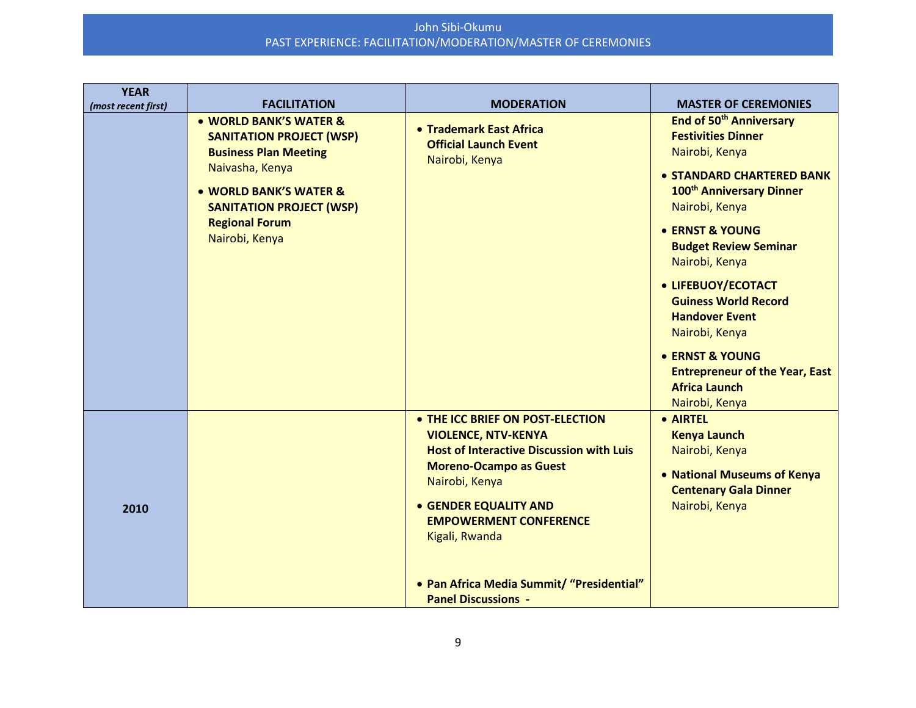| <b>YEAR</b><br>(most recent first) | <b>FACILITATION</b>                                                                                                                                                                                                  | <b>MODERATION</b>                                                                                                                                                                                                                                                                                                                  | <b>MASTER OF CEREMONIES</b>                                                                                                                                                                                                                                                                                                                                                                                                                                     |
|------------------------------------|----------------------------------------------------------------------------------------------------------------------------------------------------------------------------------------------------------------------|------------------------------------------------------------------------------------------------------------------------------------------------------------------------------------------------------------------------------------------------------------------------------------------------------------------------------------|-----------------------------------------------------------------------------------------------------------------------------------------------------------------------------------------------------------------------------------------------------------------------------------------------------------------------------------------------------------------------------------------------------------------------------------------------------------------|
|                                    | • WORLD BANK'S WATER &<br><b>SANITATION PROJECT (WSP)</b><br><b>Business Plan Meeting</b><br>Naivasha, Kenya<br>• WORLD BANK'S WATER &<br><b>SANITATION PROJECT (WSP)</b><br><b>Regional Forum</b><br>Nairobi, Kenya | • Trademark East Africa<br><b>Official Launch Event</b><br>Nairobi, Kenya                                                                                                                                                                                                                                                          | End of 50 <sup>th</sup> Anniversary<br><b>Festivities Dinner</b><br>Nairobi, Kenya<br>• STANDARD CHARTERED BANK<br>100 <sup>th</sup> Anniversary Dinner<br>Nairobi, Kenya<br>• ERNST & YOUNG<br><b>Budget Review Seminar</b><br>Nairobi, Kenya<br>• LIFEBUOY/ECOTACT<br><b>Guiness World Record</b><br><b>Handover Event</b><br>Nairobi, Kenya<br><b>• ERNST &amp; YOUNG</b><br><b>Entrepreneur of the Year, East</b><br><b>Africa Launch</b><br>Nairobi, Kenya |
| 2010                               |                                                                                                                                                                                                                      | • THE ICC BRIEF ON POST-ELECTION<br><b>VIOLENCE, NTV-KENYA</b><br><b>Host of Interactive Discussion with Luis</b><br><b>Moreno-Ocampo as Guest</b><br>Nairobi, Kenya<br><b>• GENDER EQUALITY AND</b><br><b>EMPOWERMENT CONFERENCE</b><br>Kigali, Rwanda<br>• Pan Africa Media Summit/ "Presidential"<br><b>Panel Discussions -</b> | • AIRTEL<br><b>Kenya Launch</b><br>Nairobi, Kenya<br>• National Museums of Kenya<br><b>Centenary Gala Dinner</b><br>Nairobi, Kenya                                                                                                                                                                                                                                                                                                                              |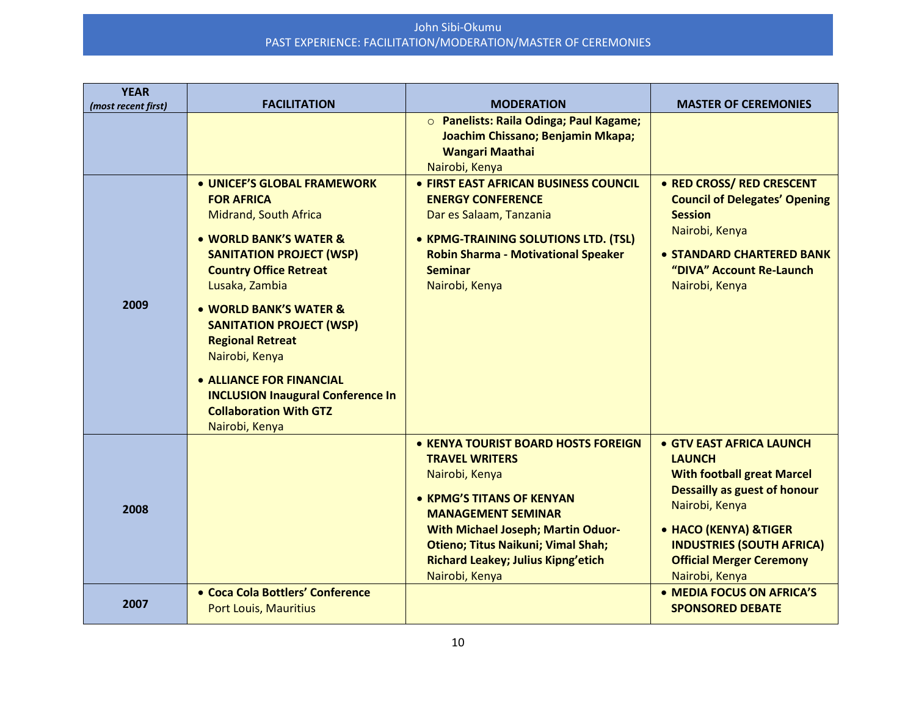| <b>YEAR</b><br>(most recent first) | <b>FACILITATION</b>                                                                                                                                                                                                                                                                                                                                                                                                                          | <b>MODERATION</b>                                                                                                                                                                                                                                                                                 | <b>MASTER OF CEREMONIES</b>                                                                                                                                                                                                                               |
|------------------------------------|----------------------------------------------------------------------------------------------------------------------------------------------------------------------------------------------------------------------------------------------------------------------------------------------------------------------------------------------------------------------------------------------------------------------------------------------|---------------------------------------------------------------------------------------------------------------------------------------------------------------------------------------------------------------------------------------------------------------------------------------------------|-----------------------------------------------------------------------------------------------------------------------------------------------------------------------------------------------------------------------------------------------------------|
|                                    |                                                                                                                                                                                                                                                                                                                                                                                                                                              | O Panelists: Raila Odinga; Paul Kagame;<br>Joachim Chissano; Benjamin Mkapa;<br><b>Wangari Maathai</b><br>Nairobi, Kenya                                                                                                                                                                          |                                                                                                                                                                                                                                                           |
| 2009                               | • UNICEF'S GLOBAL FRAMEWORK<br><b>FOR AFRICA</b><br><b>Midrand, South Africa</b><br>• WORLD BANK'S WATER &<br><b>SANITATION PROJECT (WSP)</b><br><b>Country Office Retreat</b><br>Lusaka, Zambia<br>• WORLD BANK'S WATER &<br><b>SANITATION PROJECT (WSP)</b><br><b>Regional Retreat</b><br>Nairobi, Kenya<br><b>. ALLIANCE FOR FINANCIAL</b><br><b>INCLUSION Inaugural Conference In</b><br><b>Collaboration With GTZ</b><br>Nairobi, Kenya | • FIRST EAST AFRICAN BUSINESS COUNCIL<br><b>ENERGY CONFERENCE</b><br>Dar es Salaam, Tanzania<br>• KPMG-TRAINING SOLUTIONS LTD. (TSL)<br><b>Robin Sharma - Motivational Speaker</b><br><b>Seminar</b><br>Nairobi, Kenya                                                                            | • RED CROSS/ RED CRESCENT<br><b>Council of Delegates' Opening</b><br><b>Session</b><br>Nairobi, Kenya<br>• STANDARD CHARTERED BANK<br>"DIVA" Account Re-Launch<br>Nairobi, Kenya                                                                          |
| 2008                               |                                                                                                                                                                                                                                                                                                                                                                                                                                              | • KENYA TOURIST BOARD HOSTS FOREIGN<br><b>TRAVEL WRITERS</b><br>Nairobi, Kenya<br>• KPMG'S TITANS OF KENYAN<br><b>MANAGEMENT SEMINAR</b><br><b>With Michael Joseph; Martin Oduor-</b><br><b>Otieno; Titus Naikuni; Vimal Shah;</b><br><b>Richard Leakey; Julius Kipng'etich</b><br>Nairobi, Kenya | • GTV EAST AFRICA LAUNCH<br><b>LAUNCH</b><br><b>With football great Marcel</b><br><b>Dessailly as guest of honour</b><br>Nairobi, Kenya<br>• HACO (KENYA) &TIGER<br><b>INDUSTRIES (SOUTH AFRICA)</b><br><b>Official Merger Ceremony</b><br>Nairobi, Kenya |
| 2007                               | • Coca Cola Bottlers' Conference<br><b>Port Louis, Mauritius</b>                                                                                                                                                                                                                                                                                                                                                                             |                                                                                                                                                                                                                                                                                                   | • MEDIA FOCUS ON AFRICA'S<br><b>SPONSORED DEBATE</b>                                                                                                                                                                                                      |